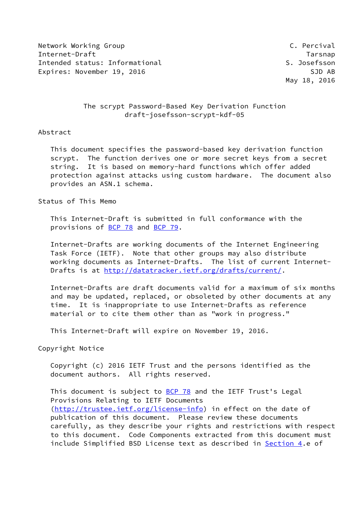Network Working Group **C. Percival** Internet-Draft Tarsnap Intended status: Informational S. Josefsson Expires: November 19, 2016 SJD AB

## The scrypt Password-Based Key Derivation Function draft-josefsson-scrypt-kdf-05

### Abstract

 This document specifies the password-based key derivation function scrypt. The function derives one or more secret keys from a secret string. It is based on memory-hard functions which offer added protection against attacks using custom hardware. The document also provides an ASN.1 schema.

Status of This Memo

 This Internet-Draft is submitted in full conformance with the provisions of [BCP 78](https://datatracker.ietf.org/doc/pdf/bcp78) and [BCP 79](https://datatracker.ietf.org/doc/pdf/bcp79).

 Internet-Drafts are working documents of the Internet Engineering Task Force (IETF). Note that other groups may also distribute working documents as Internet-Drafts. The list of current Internet Drafts is at<http://datatracker.ietf.org/drafts/current/>.

 Internet-Drafts are draft documents valid for a maximum of six months and may be updated, replaced, or obsoleted by other documents at any time. It is inappropriate to use Internet-Drafts as reference material or to cite them other than as "work in progress."

This Internet-Draft will expire on November 19, 2016.

Copyright Notice

 Copyright (c) 2016 IETF Trust and the persons identified as the document authors. All rights reserved.

This document is subject to [BCP 78](https://datatracker.ietf.org/doc/pdf/bcp78) and the IETF Trust's Legal Provisions Relating to IETF Documents [\(http://trustee.ietf.org/license-info](http://trustee.ietf.org/license-info)) in effect on the date of publication of this document. Please review these documents carefully, as they describe your rights and restrictions with respect to this document. Code Components extracted from this document must include Simplified BSD License text as described in [Section 4.](#page-4-0)e of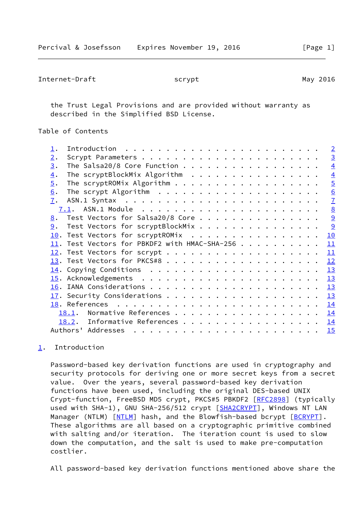```
Internet-Draft scrypt scrypt May 2016
```
 the Trust Legal Provisions and are provided without warranty as described in the Simplified BSD License.

Table of Contents

|                  |                                                 | $\overline{2}$ |
|------------------|-------------------------------------------------|----------------|
| 2.               |                                                 | $\overline{3}$ |
| 3.               | The Salsa20/8 Core Function                     | $\overline{4}$ |
| $\overline{4}$ . | The scryptBlockMix Algorithm                    | $\overline{4}$ |
| 5.               |                                                 | $\overline{5}$ |
| 6.               |                                                 | 6              |
| 7.               |                                                 | $\overline{1}$ |
|                  |                                                 | 8              |
| 8.               | Test Vectors for Salsa20/8 Core                 | $\overline{9}$ |
| 9.               | Test Vectors for scryptBlockMix                 | 9              |
|                  | 10. Test Vectors for scryptROMix                | 10             |
|                  | $11.$ Test Vectors for PBKDF2 with HMAC-SHA-256 | 11             |
|                  |                                                 | 11             |
|                  |                                                 | 12             |
|                  |                                                 | 13             |
|                  |                                                 | 13             |
|                  |                                                 | 13             |
|                  |                                                 | 13             |
|                  |                                                 | 14             |
|                  | Normative References<br>18.1.                   | 14             |
|                  | Informative References<br>18.2.                 | 14             |
|                  |                                                 | 15             |
|                  |                                                 |                |

# <span id="page-1-0"></span>[1](#page-1-0). Introduction

 Password-based key derivation functions are used in cryptography and security protocols for deriving one or more secret keys from a secret value. Over the years, several password-based key derivation functions have been used, including the original DES-based UNIX Crypt-function, FreeBSD MD5 crypt, PKCS#5 PBKDF2 [\[RFC2898](https://datatracker.ietf.org/doc/pdf/rfc2898)] (typically used with SHA-1), GNU SHA-256/512 crypt [\[SHA2CRYPT](#page-16-0)], Windows NT LAN Manager (NTLM) [\[NTLM](#page-16-1)] hash, and the Blowfish-based bcrypt [[BCRYPT](#page-16-2)]. These algorithms are all based on a cryptographic primitive combined with salting and/or iteration. The iteration count is used to slow down the computation, and the salt is used to make pre-computation costlier.

All password-based key derivation functions mentioned above share the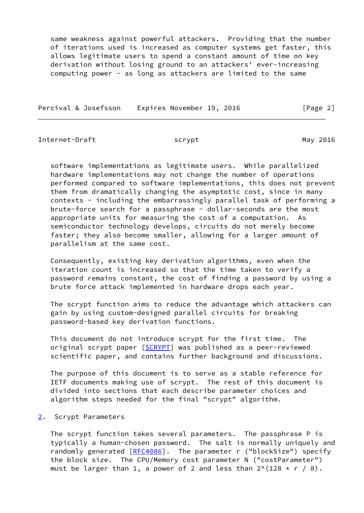same weakness against powerful attackers. Providing that the number of iterations used is increased as computer systems get faster, this allows legitimate users to spend a constant amount of time on key derivation without losing ground to an attackers' ever-increasing computing power - as long as attackers are limited to the same

Percival & Josefsson Expires November 19, 2016 [Page 2]

<span id="page-2-1"></span>Internet-Draft scrypt scrypt May 2016

 software implementations as legitimate users. While parallelized hardware implementations may not change the number of operations performed compared to software implementations, this does not prevent them from dramatically changing the asymptotic cost, since in many contexts - including the embarrassingly parallel task of performing a brute-force search for a passphrase - dollar-seconds are the most appropriate units for measuring the cost of a computation. As semiconductor technology develops, circuits do not merely become faster; they also become smaller, allowing for a larger amount of parallelism at the same cost.

 Consequently, existing key derivation algorithms, even when the iteration count is increased so that the time taken to verify a password remains constant, the cost of finding a password by using a brute force attack implemented in hardware drops each year.

 The scrypt function aims to reduce the advantage which attackers can gain by using custom-designed parallel circuits for breaking password-based key derivation functions.

 This document do not introduce scrypt for the first time. The original scrypt paper [[SCRYPT](#page-16-3)] was published as a peer-reviewed scientific paper, and contains further background and discussions.

 The purpose of this document is to serve as a stable reference for IETF documents making use of scrypt. The rest of this document is divided into sections that each describe parameter choices and algorithm steps needed for the final "scrypt" algorithm.

### <span id="page-2-0"></span>[2](#page-2-0). Scrypt Parameters

 The scrypt function takes several parameters. The passphrase P is typically a human-chosen password. The salt is normally uniquely and randomly generated [[RFC4086\]](https://datatracker.ietf.org/doc/pdf/rfc4086). The parameter r ("blockSize") specify the block size. The CPU/Memory cost parameter N ("costParameter") must be larger than 1, a power of 2 and less than  $2^{\wedge}(128 \times r / 8)$ .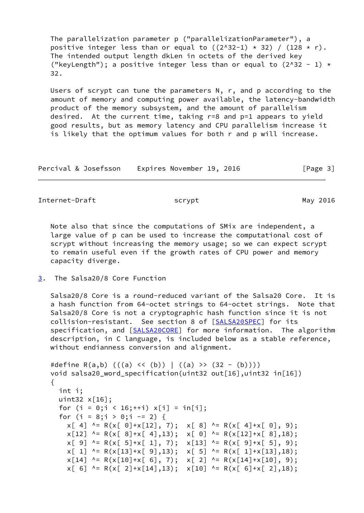The parallelization parameter p ("parallelizationParameter"), a positive integer less than or equal to  $((2^x32-1) * 32) / (128 * r)$ . The intended output length dkLen in octets of the derived key ("keyLength"); a positive integer less than or equal to  $(2^x - 1) *$ 32.

 Users of scrypt can tune the parameters N, r, and p according to the amount of memory and computing power available, the latency-bandwidth product of the memory subsystem, and the amount of parallelism desired. At the current time, taking r=8 and p=1 appears to yield good results, but as memory latency and CPU parallelism increase it is likely that the optimum values for both r and p will increase.

Percival & Josefsson Expires November 19, 2016 [Page 3]

<span id="page-3-1"></span>Internet-Draft scrypt scrypt May 2016

 Note also that since the computations of SMix are independent, a large value of p can be used to increase the computational cost of scrypt without increasing the memory usage; so we can expect scrypt to remain useful even if the growth rates of CPU power and memory capacity diverge.

<span id="page-3-0"></span>[3](#page-3-0). The Salsa20/8 Core Function

 Salsa20/8 Core is a round-reduced variant of the Salsa20 Core. It is a hash function from 64-octet strings to 64-octet strings. Note that Salsa20/8 Core is not a cryptographic hash function since it is not collision-resistant. See section 8 of [\[SALSA20SPEC](#page-15-4)] for its specification, and [[SALSA20CORE\]](#page-16-4) for more information. The algorithm description, in C language, is included below as a stable reference, without endianness conversion and alignment.

```
#define R(a,b) (((a) \iff (b)) | ((a) \Rightarrow (32 - (b)))) void salsa20_word_specification(uint32 out[16],uint32 in[16])
 {
   int i;
   uint32 x[16];
  for (i = 0; i < 16; ++i) x[i] = in[i];for (i = 8; i > 0; i = 2) {
    x[ 4] ^= R(x[ 0]+x[12], 7); x[ 8] ^= R(x[ 4]+x[ 0], 9);
    x[12] ^= R(x[ 8]+x[ 4],13); x[ 0] ^= R(x[12]+x[ 8],18);
    x[ 9] ^= R(x[ 5]+x[ 1], 7); x[13] ^= R(x[ 9]+x[ 5], 9);
    x[ 1] ^= R(x[13]+x[ 9],13); x[ 5] ^= R(x[ 1]+x[13],18);
    x[14] ^= R(x[10]+x[6], 7); x[2] ^= R(x[14]+x[10], 9);
    x[ 6] ^= R(x[ 2]+x[14],13); x[10] ^= R(x[ 6]+x[ 2],18);
```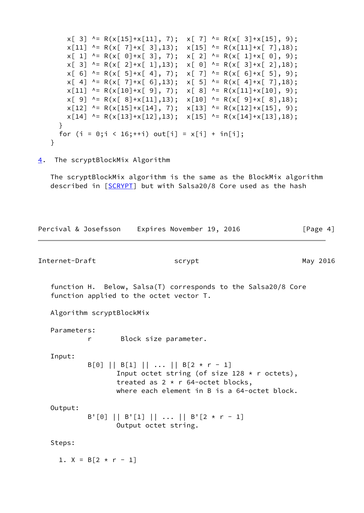$x[ 3]$  ^= R( $x[15]+x[11]$ , 7);  $x[ 7]$  ^= R( $x[ 3]+x[15]$ , 9);  $x[11]$  ^= R(x[ 7]+x[ 3],13);  $x[15]$  ^= R(x[11]+x[ 7],18);  $x[ 1]$  ^= R(x[ 0]+x[ 3], 7);  $x[ 2]$  ^= R(x[ 1]+x[ 0], 9);  $x[ 3]$  ^= R(x[ 2]+x[ 1],13);  $x[ 0]$  ^= R(x[ 3]+x[ 2],18);  $x[ 6]$  ^= R(x[ 5]+x[ 4], 7);  $x[ 7]$  ^= R(x[ 6]+x[ 5], 9);  $x[ 4]$  ^= R(x[ 7]+x[ 6],13);  $x[ 5]$  ^= R(x[ 4]+x[ 7],18);  $x[11]$  ^= R( $x[10]+x[9]$ , 7);  $x[8]$  ^= R( $x[11]+x[10]$ , 9);  $x[ 9]$  ^= R(x[ 8]+x[11],13);  $x[10]$  ^= R(x[ 9]+x[ 8],18);  $x[12]$  ^= R( $x[15]+x[14]$ , 7);  $x[13]$  ^= R( $x[12]+x[15]$ , 9);  $x[14]$  ^= R( $x[13]+x[12]$ ,13);  $x[15]$  ^= R( $x[14]+x[13]$ ,18); } for  $(i = 0; i < 16; ++i)$  out[i] =  $x[i] + in[i];$ }

<span id="page-4-0"></span>[4](#page-4-0). The scryptBlockMix Algorithm

 The scryptBlockMix algorithm is the same as the BlockMix algorithm described in [\[SCRYPT](#page-16-3)] but with Salsa20/8 Core used as the hash

<span id="page-4-1"></span>

|                | Percival & Josefsson Expires November 19, 2016 |                       |                                                                                     |                                                                                                | [Page $4$ ] |
|----------------|------------------------------------------------|-----------------------|-------------------------------------------------------------------------------------|------------------------------------------------------------------------------------------------|-------------|
| Internet-Draft |                                                |                       | scrypt                                                                              |                                                                                                | May 2016    |
|                | function applied to the octet vector T.        |                       |                                                                                     | function H. Below, Salsa(T) corresponds to the Salsa20/8 Core                                  |             |
|                | Algorithm scryptBlockMix                       |                       |                                                                                     |                                                                                                |             |
| Parameters:    | r                                              | Block size parameter. |                                                                                     |                                                                                                |             |
| Input:         |                                                |                       | $B[0]$    $B[1]$        $B[2 \times r - 1]$<br>treated as $2 * r 64$ -octet blocks, | Input octet string (of size 128 $*$ r octets),<br>where each element in B is a 64-octet block. |             |
| Output:        |                                                | Output octet string.  | B'[0]    B'[1]        B'[2 * r - 1]                                                 |                                                                                                |             |
| Steps:         |                                                |                       |                                                                                     |                                                                                                |             |
|                | 1. $X = B[2 \times r - 1]$                     |                       |                                                                                     |                                                                                                |             |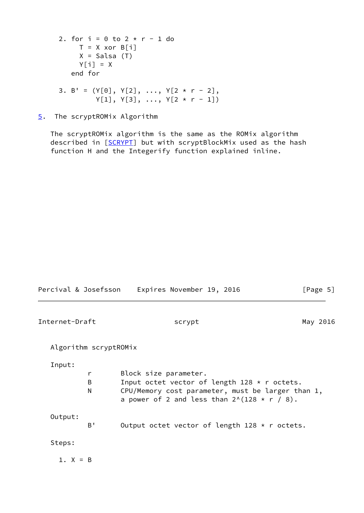```
2. for i = 0 to 2 * r - 1 do
    T = X xor B[i]X = Salsa(T)Y[i] = X end for
3. B' = (Y[0], Y[2], ..., Y[2 * r - 2],Y[1], Y[3], ..., Y[2 * r - 1])
```
<span id="page-5-0"></span>[5](#page-5-0). The scryptROMix Algorithm

 The scryptROMix algorithm is the same as the ROMix algorithm described in [\[SCRYPT](#page-16-3)] but with scryptBlockMix used as the hash function H and the Integerify function explained inline.

<span id="page-5-1"></span>

| Percival & Josefsson  |             | Expires November 19, 2016                                                                                                                                                                   | [Page 5] |
|-----------------------|-------------|---------------------------------------------------------------------------------------------------------------------------------------------------------------------------------------------|----------|
| Internet-Draft        |             | scrypt                                                                                                                                                                                      | May 2016 |
| Algorithm scryptROMix |             |                                                                                                                                                                                             |          |
| Input:                | r<br>B<br>N | Block size parameter.<br>Input octet vector of length $128 \times r$ octets.<br>CPU/Memory cost parameter, must be larger than 1,<br>a power of 2 and less than $2^{\wedge}(128 * r / 8)$ . |          |
| Output:               | B'          | Output octet vector of length $128 \times r$ octets.                                                                                                                                        |          |
| Steps:                |             |                                                                                                                                                                                             |          |
| 1. $X = B$            |             |                                                                                                                                                                                             |          |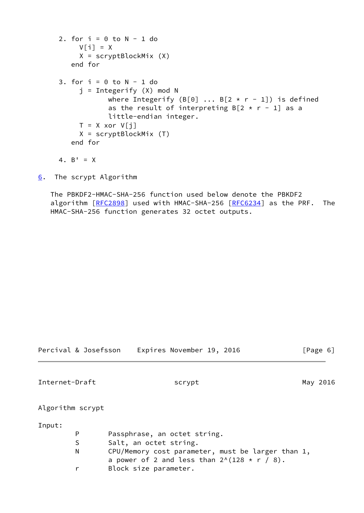```
2. for i = 0 to N - 1 do
     V[i] = X X = scryptBlockMix (X)
    end for
3. for i = 0 to N - 1 do
     i = Integerify (X) mod Nwhere Integerify (B[0] \ldots B[2 \times r - 1]) is defined
            as the result of interpreting B[2 \times r - 1] as a
             little-endian integer.
     T = X xor V[j] X = scryptBlockMix (T)
    end for
4. B' = X
```
<span id="page-6-0"></span>[6](#page-6-0). The scrypt Algorithm

 The PBKDF2-HMAC-SHA-256 function used below denote the PBKDF2 algorithm [[RFC2898](https://datatracker.ietf.org/doc/pdf/rfc2898)] used with HMAC-SHA-256 [[RFC6234\]](https://datatracker.ietf.org/doc/pdf/rfc6234) as the PRF. The HMAC-SHA-256 function generates 32 octet outputs.

<span id="page-6-1"></span>

| Percival & Josefsson | Expires November 19, 2016                                   | [Page 6] |  |
|----------------------|-------------------------------------------------------------|----------|--|
| Internet-Draft       | scrypt                                                      | May 2016 |  |
| Algorithm scrypt     |                                                             |          |  |
| Input:               |                                                             |          |  |
| P                    | Passphrase, an octet string.                                |          |  |
| S                    | Salt, an octet string.                                      |          |  |
| N                    | CPU/Memory cost parameter, must be larger than 1,           |          |  |
|                      | a power of 2 and less than $2^{\wedge}(128 \times r / 8)$ . |          |  |
| r                    | Block size parameter.                                       |          |  |
|                      |                                                             |          |  |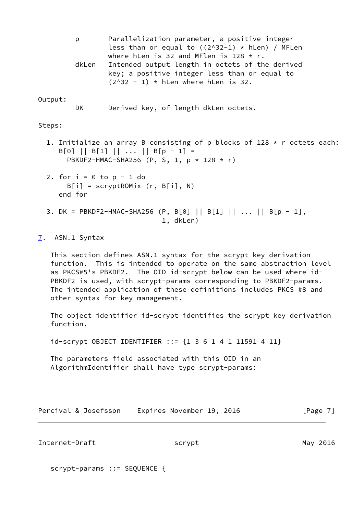p Parallelization parameter, a positive integer less than or equal to  $((2^x32-1) * hLen)$  / MFLen where hLen is 32 and MFlen is  $128 \times r$ . dkLen Intended output length in octets of the derived key; a positive integer less than or equal to  $(2^{\wedge}32 - 1)$  \* hLen where hLen is 32.

### Output:

DK Derived key, of length dkLen octets.

Steps:

- 1. Initialize an array B consisting of p blocks of 128  $*$  r octets each: B[0] || B[1] || ... || B[p - 1] = PBKDF2-HMAC-SHA256 (P, S, 1, p \* 128 \* r)
- 2. for  $i = 0$  to  $p 1$  do  $B[i] = scryptROMix (r, B[i], N)$ end for
- 3. DK = PBKDF2-HMAC-SHA256 (P, B[0] || B[1] || ... || B[p 1], 1, dkLen)

### <span id="page-7-0"></span>[7](#page-7-0). ASN.1 Syntax

 This section defines ASN.1 syntax for the scrypt key derivation function. This is intended to operate on the same abstraction level as PKCS#5's PBKDF2. The OID id-scrypt below can be used where id- PBKDF2 is used, with scrypt-params corresponding to PBKDF2-params. The intended application of these definitions includes PKCS #8 and other syntax for key management.

 The object identifier id-scrypt identifies the scrypt key derivation function.

id-scrypt OBJECT IDENTIFIER ::= {1 3 6 1 4 1 11591 4 11}

 The parameters field associated with this OID in an AlgorithmIdentifier shall have type scrypt-params:

| Percival & Josefsson | Expires November 19, 2016 | [Page 7] |
|----------------------|---------------------------|----------|
|----------------------|---------------------------|----------|

<span id="page-7-1"></span>Internet-Draft scrypt scrypt May 2016

scrypt-params ::= SEQUENCE {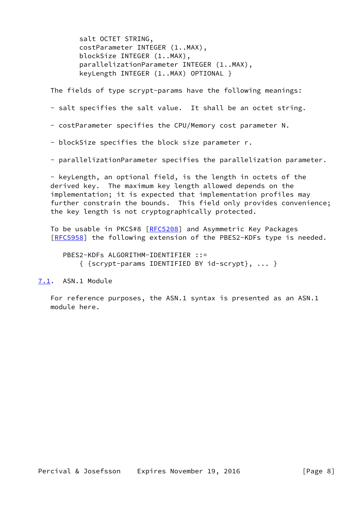salt OCTET STRING, costParameter INTEGER (1..MAX), blockSize INTEGER (1..MAX), parallelizationParameter INTEGER (1..MAX), keyLength INTEGER (1..MAX) OPTIONAL }

The fields of type scrypt-params have the following meanings:

- salt specifies the salt value. It shall be an octet string.
- costParameter specifies the CPU/Memory cost parameter N.
- blockSize specifies the block size parameter r.
- parallelizationParameter specifies the parallelization parameter.

 - keyLength, an optional field, is the length in octets of the derived key. The maximum key length allowed depends on the implementation; it is expected that implementation profiles may further constrain the bounds. This field only provides convenience; the key length is not cryptographically protected.

To be usable in PKCS#8 [\[RFC5208](https://datatracker.ietf.org/doc/pdf/rfc5208)] and Asymmetric Key Packages [\[RFC5958](https://datatracker.ietf.org/doc/pdf/rfc5958)] the following extension of the PBES2-KDFs type is needed.

 PBES2-KDFs ALGORITHM-IDENTIFIER ::= { {scrypt-params IDENTIFIED BY id-scrypt}, ... }

# <span id="page-8-0"></span>[7.1](#page-8-0). ASN.1 Module

 For reference purposes, the ASN.1 syntax is presented as an ASN.1 module here.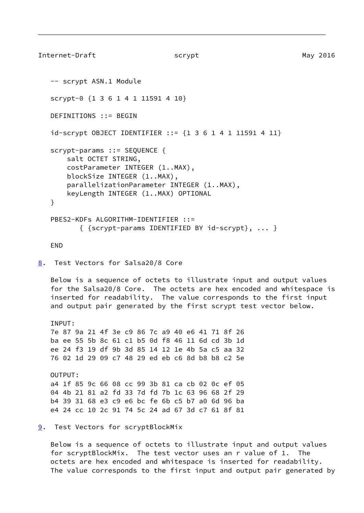```
Internet-Draft scrypt scrypt May 2016
    -- scrypt ASN.1 Module
   scrypt-0 {1 3 6 1 4 1 11591 4 10}
   DEFINITIONS ::= BEGIN
   id-scrypt OBJECT IDENTIFIER ::= {1 3 6 1 4 1 11591 4 11}
    scrypt-params ::= SEQUENCE {
       salt OCTET STRING,
       costParameter INTEGER (1..MAX),
       blockSize INTEGER (1..MAX),
       parallelizationParameter INTEGER (1..MAX),
       keyLength INTEGER (1..MAX) OPTIONAL
    }
   PBES2-KDFs ALGORITHM-IDENTIFIER ::=
          { {scrypt-params IDENTIFIED BY id-scrypt}, ... }
   END
```
<span id="page-9-0"></span>[8](#page-9-0). Test Vectors for Salsa20/8 Core

 Below is a sequence of octets to illustrate input and output values for the Salsa20/8 Core. The octets are hex encoded and whitespace is inserted for readability. The value corresponds to the first input and output pair generated by the first scrypt test vector below.

TNPUT: 7e 87 9a 21 4f 3e c9 86 7c a9 40 e6 41 71 8f 26 ba ee 55 5b 8c 61 c1 b5 0d f8 46 11 6d cd 3b 1d ee 24 f3 19 df 9b 3d 85 14 12 1e 4b 5a c5 aa 32 76 02 1d 29 09 c7 48 29 ed eb c6 8d b8 b8 c2 5e

 OUTPUT: a4 1f 85 9c 66 08 cc 99 3b 81 ca cb 02 0c ef 05 04 4b 21 81 a2 fd 33 7d fd 7b 1c 63 96 68 2f 29 b4 39 31 68 e3 c9 e6 bc fe 6b c5 b7 a0 6d 96 ba e4 24 cc 10 2c 91 74 5c 24 ad 67 3d c7 61 8f 81

<span id="page-9-2"></span>[9](#page-9-2). Test Vectors for scryptBlockMix

 Below is a sequence of octets to illustrate input and output values for scryptBlockMix. The test vector uses an r value of 1. The octets are hex encoded and whitespace is inserted for readability. The value corresponds to the first input and output pair generated by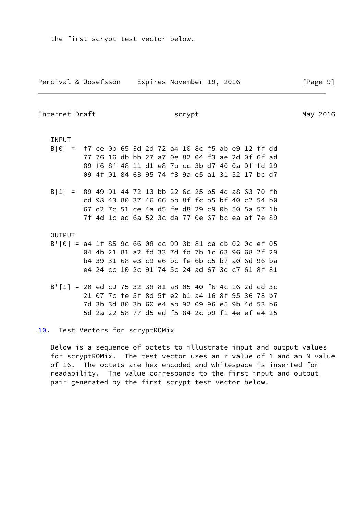the first scrypt test vector below.

<span id="page-10-1"></span>Internet-Draft scrypt scrypt May 2016

### INPUT

| $B[0] = f7$ ce 0b 65 3d 2d 72 a4 10 8c f5 ab e9 12 ff dd   |  |  |  |  |  |  |  |                                                 |  |
|------------------------------------------------------------|--|--|--|--|--|--|--|-------------------------------------------------|--|
|                                                            |  |  |  |  |  |  |  | 77 76 16 db bb 27 a7 0e 82 04 f3 ae 2d 0f 6f ad |  |
|                                                            |  |  |  |  |  |  |  | 89 f6 8f 48 11 d1 e8 7b cc 3b d7 40 0a 9f fd 29 |  |
|                                                            |  |  |  |  |  |  |  | 09 4f 01 84 63 95 74 f3 9a e5 a1 31 52 17 bc d7 |  |
| $B[1] = 894991447213 bb26c25 b54d a86370 fb$               |  |  |  |  |  |  |  |                                                 |  |
|                                                            |  |  |  |  |  |  |  | cd 98 43 80 37 46 66 bb 8f fc b5 bf 40 c2 54 b0 |  |
|                                                            |  |  |  |  |  |  |  | 67 d2 7c 51 ce 4a d5 fe d8 29 c9 0b 50 5a 57 1b |  |
|                                                            |  |  |  |  |  |  |  | 7f 4d 1c ad 6a 52 3c da 77 0e 67 bc ea af 7e 89 |  |
| <b>OUTPUT</b>                                              |  |  |  |  |  |  |  |                                                 |  |
| $B'$ [0] = a4 1f 85 9c 66 08 cc 99 3b 81 ca cb 02 0c ef 05 |  |  |  |  |  |  |  |                                                 |  |
|                                                            |  |  |  |  |  |  |  | 04 4b 21 81 a2 fd 33 7d fd 7b 1c 63 96 68 2f 29 |  |
|                                                            |  |  |  |  |  |  |  | h4 39 31 68 e3 c9 e6 hc fe 6h c5 h7 a0 6d 96 ha |  |

- b4 39 31 68 e3 c9 e6 bc fe 6b c5 b7 a0 6d 96 ba e4 24 cc 10 2c 91 74 5c 24 ad 67 3d c7 61 8f 81
- B'[1] = 20 ed c9 75 32 38 81 a8 05 40 f6 4c 16 2d cd 3c 21 07 7c fe 5f 8d 5f e2 b1 a4 16 8f 95 36 78 b7 7d 3b 3d 80 3b 60 e4 ab 92 09 96 e5 9b 4d 53 b6 5d 2a 22 58 77 d5 ed f5 84 2c b9 f1 4e ef e4 25

<span id="page-10-0"></span>[10.](#page-10-0) Test Vectors for scryptROMix

 Below is a sequence of octets to illustrate input and output values for scryptROMix. The test vector uses an r value of 1 and an N value of 16. The octets are hex encoded and whitespace is inserted for readability. The value corresponds to the first input and output pair generated by the first scrypt test vector below.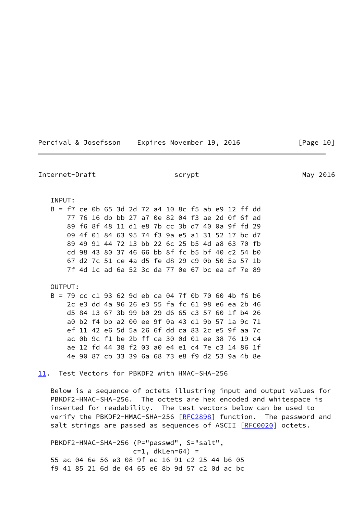| Percival & Josefsson |  | Expires November 19, 2016 |  |  |
|----------------------|--|---------------------------|--|--|
|----------------------|--|---------------------------|--|--|

Internet-Draft scrypt scrypt May 2016 INPUT: B = f7 ce 0b 65 3d 2d 72 a4 10 8c f5 ab e9 12 ff dd 77 76 16 db bb 27 a7 0e 82 04 f3 ae 2d 0f 6f ad 89 f6 8f 48 11 d1 e8 7b cc 3b d7 40 0a 9f fd 29 09 4f 01 84 63 95 74 f3 9a e5 a1 31 52 17 bc d7 89 49 91 44 72 13 bb 22 6c 25 b5 4d a8 63 70 fb cd 98 43 80 37 46 66 bb 8f fc b5 bf 40 c2 54 b0 67 d2 7c 51 ce 4a d5 fe d8 29 c9 0b 50 5a 57 1b 7f 4d 1c ad 6a 52 3c da 77 0e 67 bc ea af 7e 89 OUTPUT: B = 79 cc c1 93 62 9d eb ca 04 7f 0b 70 60 4b f6 b6 2c e3 dd 4a 96 26 e3 55 fa fc 61 98 e6 ea 2b 46 d5 84 13 67 3b 99 b0 29 d6 65 c3 57 60 1f b4 26 a0 b2 f4 bb a2 00 ee 9f 0a 43 d1 9b 57 1a 9c 71 ef 11 42 e6 5d 5a 26 6f dd ca 83 2c e5 9f aa 7c ac 0b 9c f1 be 2b ff ca 30 0d 01 ee 38 76 19 c4 ae 12 fd 44 38 f2 03 a0 e4 e1 c4 7e c3 14 86 1f 4e 90 87 cb 33 39 6a 68 73 e8 f9 d2 53 9a 4b 8e [11.](#page-11-0) Test Vectors for PBKDF2 with HMAC-SHA-256

<span id="page-11-0"></span> Below is a sequence of octets illustring input and output values for PBKDF2-HMAC-SHA-256. The octets are hex encoded and whitespace is inserted for readability. The test vectors below can be used to verify the PBKDF2-HMAC-SHA-256 [\[RFC2898](https://datatracker.ietf.org/doc/pdf/rfc2898)] function. The password and salt strings are passed as sequences of ASCII [[RFC0020](https://datatracker.ietf.org/doc/pdf/rfc0020)] octets.

 PBKDF2-HMAC-SHA-256 (P="passwd", S="salt",  $c=1$ , dkLen=64) = 55 ac 04 6e 56 e3 08 9f ec 16 91 c2 25 44 b6 05 f9 41 85 21 6d de 04 65 e6 8b 9d 57 c2 0d ac bc

5 [Page 10]

<span id="page-11-1"></span>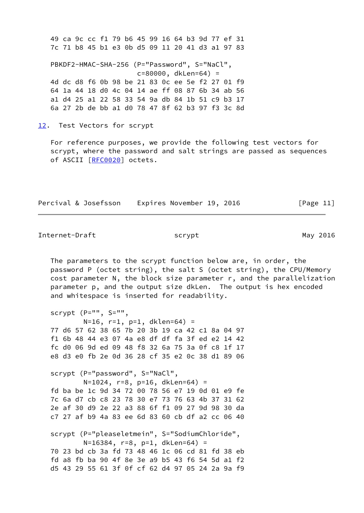49 ca 9c cc f1 79 b6 45 99 16 64 b3 9d 77 ef 31 7c 71 b8 45 b1 e3 0b d5 09 11 20 41 d3 a1 97 83

 PBKDF2-HMAC-SHA-256 (P="Password", S="NaCl", c=80000, dkLen=64) = 4d dc d8 f6 0b 98 be 21 83 0c ee 5e f2 27 01 f9 64 1a 44 18 d0 4c 04 14 ae ff 08 87 6b 34 ab 56 a1 d4 25 a1 22 58 33 54 9a db 84 1b 51 c9 b3 17 6a 27 2b de bb a1 d0 78 47 8f 62 b3 97 f3 3c 8d

<span id="page-12-0"></span>[12.](#page-12-0) Test Vectors for scrypt

 For reference purposes, we provide the following test vectors for scrypt, where the password and salt strings are passed as sequences of ASCII [\[RFC0020](https://datatracker.ietf.org/doc/pdf/rfc0020)] octets.

| Percival & Josefsson | Expires November 19, 2016 |  | [Page 11] |
|----------------------|---------------------------|--|-----------|
|----------------------|---------------------------|--|-----------|

<span id="page-12-1"></span>Internet-Draft scrypt scrypt May 2016

 The parameters to the scrypt function below are, in order, the password P (octet string), the salt S (octet string), the CPU/Memory cost parameter N, the block size parameter r, and the parallelization parameter p, and the output size dkLen. The output is hex encoded and whitespace is inserted for readability.

 scrypt (P="", S="", N=16, r=1, p=1, dklen=64) = 77 d6 57 62 38 65 7b 20 3b 19 ca 42 c1 8a 04 97 f1 6b 48 44 e3 07 4a e8 df df fa 3f ed e2 14 42 fc d0 06 9d ed 09 48 f8 32 6a 75 3a 0f c8 1f 17 e8 d3 e0 fb 2e 0d 36 28 cf 35 e2 0c 38 d1 89 06 scrypt (P="password", S="NaCl", N=1024, r=8, p=16, dkLen=64) = fd ba be 1c 9d 34 72 00 78 56 e7 19 0d 01 e9 fe 7c 6a d7 cb c8 23 78 30 e7 73 76 63 4b 37 31 62 2e af 30 d9 2e 22 a3 88 6f f1 09 27 9d 98 30 da c7 27 af b9 4a 83 ee 6d 83 60 cb df a2 cc 06 40

 scrypt (P="pleaseletmein", S="SodiumChloride", N=16384, r=8, p=1, dkLen=64) = 70 23 bd cb 3a fd 73 48 46 1c 06 cd 81 fd 38 eb fd a8 fb ba 90 4f 8e 3e a9 b5 43 f6 54 5d a1 f2 d5 43 29 55 61 3f 0f cf 62 d4 97 05 24 2a 9a f9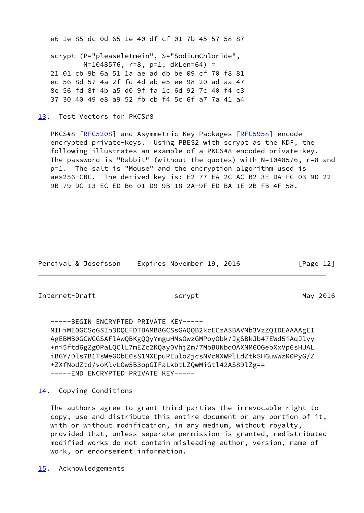e6 1e 85 dc 0d 65 1e 40 df cf 01 7b 45 57 58 87 scrypt (P="pleaseletmein", S="SodiumChloride", N=1048576, r=8, p=1, dkLen=64) = 21 01 cb 9b 6a 51 1a ae ad db be 09 cf 70 f8 81 ec 56 8d 57 4a 2f fd 4d ab e5 ee 98 20 ad aa 47 8e 56 fd 8f 4b a5 d0 9f fa 1c 6d 92 7c 40 f4 c3 37 30 40 49 e8 a9 52 fb cb f4 5c 6f a7 7a 41 a4

<span id="page-13-0"></span>[13.](#page-13-0) Test Vectors for PKCS#8

PKCS#8 [\[RFC5208](https://datatracker.ietf.org/doc/pdf/rfc5208)] and Asymmetric Key Packages [\[RFC5958](https://datatracker.ietf.org/doc/pdf/rfc5958)] encode encrypted private-keys. Using PBES2 with scrypt as the KDF, the following illustrates an example of a PKCS#8 encoded private-key. The password is "Rabbit" (without the quotes) with N=1048576, r=8 and p=1. The salt is "Mouse" and the encryption algorithm used is aes256-CBC. The derived key is: E2 77 EA 2C AC B2 3E DA-FC 03 9D 22 9B 79 DC 13 EC ED B6 01 D9 9B 18 2A-9F ED BA 1E 2B FB 4F 58.

Percival & Josefsson Expires November 19, 2016 [Page 12]

<span id="page-13-2"></span>Internet-Draft scrypt scrypt May 2016

 -----BEGIN ENCRYPTED PRIVATE KEY----- MIHiME0GCSqGSIb3DQEFDTBAMB8GCSsGAQQB2kcECzASBAVNb3VzZQIDEAAAAgEI AgEBMB0GCWCGSAFlAwQBKgQQyYmguHMsOwzGMPoyObk/JgSBkJb47EWd5iAqJlyy +ni5ftd6gZgOPaLQClL7mEZc2KQay0VhjZm/7MbBUNbqOAXNM6OGebXxVp6sHUAL iBGY/Dls7B1TsWeGObE0sS1MXEpuREuloZjcsNVcNXWPlLdZtkSH6uwWzR0PyG/Z +ZXfNodZtd/voKlvLOw5B3opGIFaLkbtLZQwMiGtl42AS89lZg== -----END ENCRYPTED PRIVATE KEY-----

<span id="page-13-1"></span>[14.](#page-13-1) Copying Conditions

 The authors agree to grant third parties the irrevocable right to copy, use and distribute this entire document or any portion of it, with or without modification, in any medium, without royalty, provided that, unless separate permission is granted, redistributed modified works do not contain misleading author, version, name of work, or endorsement information.

<span id="page-13-3"></span>[15.](#page-13-3) Acknowledgements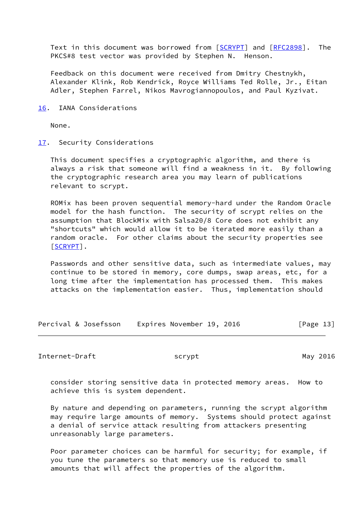Text in this document was borrowed from [\[SCRYPT](#page-16-3)] and [\[RFC2898](https://datatracker.ietf.org/doc/pdf/rfc2898)]. The PKCS#8 test vector was provided by Stephen N. Henson.

 Feedback on this document were received from Dmitry Chestnykh, Alexander Klink, Rob Kendrick, Royce Williams Ted Rolle, Jr., Eitan Adler, Stephen Farrel, Nikos Mavrogiannopoulos, and Paul Kyzivat.

<span id="page-14-0"></span>[16.](#page-14-0) IANA Considerations

None.

<span id="page-14-1"></span>[17.](#page-14-1) Security Considerations

 This document specifies a cryptographic algorithm, and there is always a risk that someone will find a weakness in it. By following the cryptographic research area you may learn of publications relevant to scrypt.

 ROMix has been proven sequential memory-hard under the Random Oracle model for the hash function. The security of scrypt relies on the assumption that BlockMix with Salsa20/8 Core does not exhibit any "shortcuts" which would allow it to be iterated more easily than a random oracle. For other claims about the security properties see [\[SCRYPT](#page-16-3)].

 Passwords and other sensitive data, such as intermediate values, may continue to be stored in memory, core dumps, swap areas, etc, for a long time after the implementation has processed them. This makes attacks on the implementation easier. Thus, implementation should

| Percival & Josefsson | Expires November 19, 2016 | [Page 13] |
|----------------------|---------------------------|-----------|
|----------------------|---------------------------|-----------|

<span id="page-14-2"></span>Internet-Draft scrypt scrypt May 2016

 consider storing sensitive data in protected memory areas. How to achieve this is system dependent.

 By nature and depending on parameters, running the scrypt algorithm may require large amounts of memory. Systems should protect against a denial of service attack resulting from attackers presenting unreasonably large parameters.

 Poor parameter choices can be harmful for security; for example, if you tune the parameters so that memory use is reduced to small amounts that will affect the properties of the algorithm.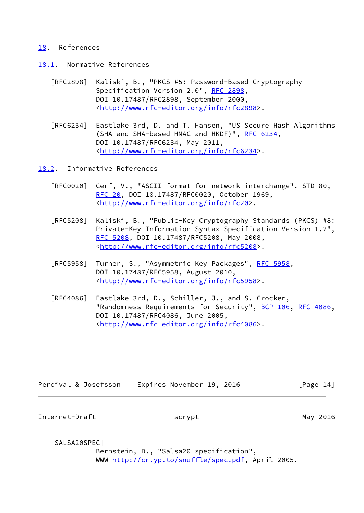### <span id="page-15-0"></span>[18.](#page-15-0) References

- <span id="page-15-1"></span>[18.1](#page-15-1). Normative References
	- [RFC2898] Kaliski, B., "PKCS #5: Password-Based Cryptography Specification Version 2.0", [RFC 2898,](https://datatracker.ietf.org/doc/pdf/rfc2898) DOI 10.17487/RFC2898, September 2000, <<http://www.rfc-editor.org/info/rfc2898>>.
	- [RFC6234] Eastlake 3rd, D. and T. Hansen, "US Secure Hash Algorithms (SHA and SHA-based HMAC and HKDF)", [RFC 6234,](https://datatracker.ietf.org/doc/pdf/rfc6234) DOI 10.17487/RFC6234, May 2011, <<http://www.rfc-editor.org/info/rfc6234>>.

<span id="page-15-2"></span>[18.2](#page-15-2). Informative References

- [RFC0020] Cerf, V., "ASCII format for network interchange", STD 80, [RFC 20](https://datatracker.ietf.org/doc/pdf/rfc20), DOI 10.17487/RFC0020, October 1969, <[http://www.rfc-editor.org/info/rfc20>](http://www.rfc-editor.org/info/rfc20).
- [RFC5208] Kaliski, B., "Public-Key Cryptography Standards (PKCS) #8: Private-Key Information Syntax Specification Version 1.2", [RFC 5208,](https://datatracker.ietf.org/doc/pdf/rfc5208) DOI 10.17487/RFC5208, May 2008, <<http://www.rfc-editor.org/info/rfc5208>>.
- [RFC5958] Turner, S., "Asymmetric Key Packages", [RFC 5958](https://datatracker.ietf.org/doc/pdf/rfc5958), DOI 10.17487/RFC5958, August 2010, <<http://www.rfc-editor.org/info/rfc5958>>.
- [RFC4086] Eastlake 3rd, D., Schiller, J., and S. Crocker, "Randomness Requirements for Security", [BCP 106](https://datatracker.ietf.org/doc/pdf/bcp106), [RFC 4086,](https://datatracker.ietf.org/doc/pdf/rfc4086) DOI 10.17487/RFC4086, June 2005, <<http://www.rfc-editor.org/info/rfc4086>>.

| Percival & Josefsson | Expires November 19, 2016 |  | [Page 14] |
|----------------------|---------------------------|--|-----------|
|----------------------|---------------------------|--|-----------|

<span id="page-15-3"></span>Internet-Draft scrypt scrypt May 2016

<span id="page-15-4"></span>[SALSA20SPEC]

 Bernstein, D., "Salsa20 specification", WWW [http://cr.yp.to/snuffle/spec.pdf,](http://cr.yp.to/snuffle/spec.pdf) April 2005.